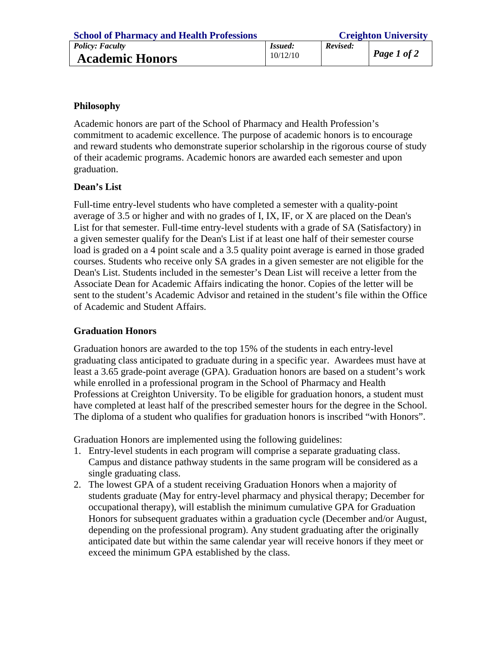| <b>School of Pharmacy and Health Professions</b> | <b>Creighton University</b> |          |                     |
|--------------------------------------------------|-----------------------------|----------|---------------------|
| <i>Policy: Faculty</i>                           | <i>Issued:</i>              | Revised: |                     |
| <b>Academic Honors</b>                           | 10/12/10                    |          | $\vert$ Page 1 of 2 |

## **Philosophy**

Academic honors are part of the School of Pharmacy and Health Profession's commitment to academic excellence. The purpose of academic honors is to encourage and reward students who demonstrate superior scholarship in the rigorous course of study of their academic programs. Academic honors are awarded each semester and upon graduation.

## **Dean's List**

Full-time entry-level students who have completed a semester with a quality-point average of 3.5 or higher and with no grades of I, IX, IF, or X are placed on the Dean's List for that semester. Full-time entry-level students with a grade of SA (Satisfactory) in a given semester qualify for the Dean's List if at least one half of their semester course load is graded on a 4 point scale and a 3.5 quality point average is earned in those graded courses. Students who receive only SA grades in a given semester are not eligible for the Dean's List. Students included in the semester's Dean List will receive a letter from the Associate Dean for Academic Affairs indicating the honor. Copies of the letter will be sent to the student's Academic Advisor and retained in the student's file within the Office of Academic and Student Affairs.

## **Graduation Honors**

Graduation honors are awarded to the top 15% of the students in each entry-level graduating class anticipated to graduate during in a specific year. Awardees must have at least a 3.65 grade-point average (GPA). Graduation honors are based on a student's work while enrolled in a professional program in the School of Pharmacy and Health Professions at Creighton University. To be eligible for graduation honors, a student must have completed at least half of the prescribed semester hours for the degree in the School. The diploma of a student who qualifies for graduation honors is inscribed "with Honors".

Graduation Honors are implemented using the following guidelines:

- 1. Entry-level students in each program will comprise a separate graduating class. Campus and distance pathway students in the same program will be considered as a single graduating class.
- 2. The lowest GPA of a student receiving Graduation Honors when a majority of students graduate (May for entry-level pharmacy and physical therapy; December for occupational therapy), will establish the minimum cumulative GPA for Graduation Honors for subsequent graduates within a graduation cycle (December and/or August, depending on the professional program). Any student graduating after the originally anticipated date but within the same calendar year will receive honors if they meet or exceed the minimum GPA established by the class.